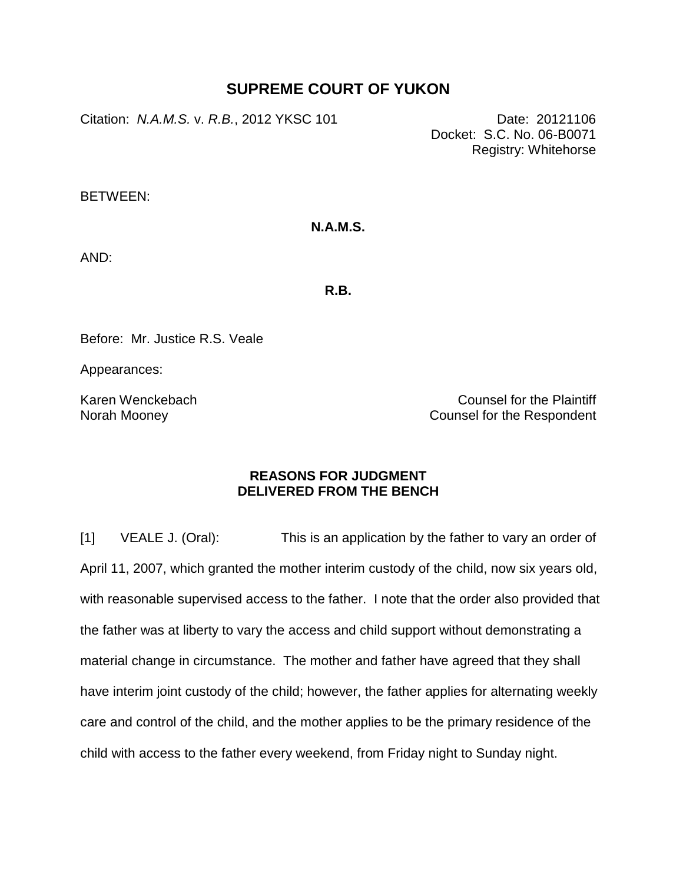# **SUPREME COURT OF YUKON**

Citation: *N.A.M.S.* v. *R.B.*, 2012 YKSC 101 Date: 20121106

Docket: S.C. No. 06-B0071 Registry: Whitehorse

BETWEEN:

### **N.A.M.S.**

AND:

**R.B.**

Before: Mr. Justice R.S. Veale

Appearances:

Karen Wenckebach Norah Mooney

Counsel for the Plaintiff Counsel for the Respondent

### **REASONS FOR JUDGMENT DELIVERED FROM THE BENCH**

[1] VEALE J. (Oral): This is an application by the father to vary an order of April 11, 2007, which granted the mother interim custody of the child, now six years old, with reasonable supervised access to the father. I note that the order also provided that the father was at liberty to vary the access and child support without demonstrating a material change in circumstance. The mother and father have agreed that they shall have interim joint custody of the child; however, the father applies for alternating weekly care and control of the child, and the mother applies to be the primary residence of the child with access to the father every weekend, from Friday night to Sunday night.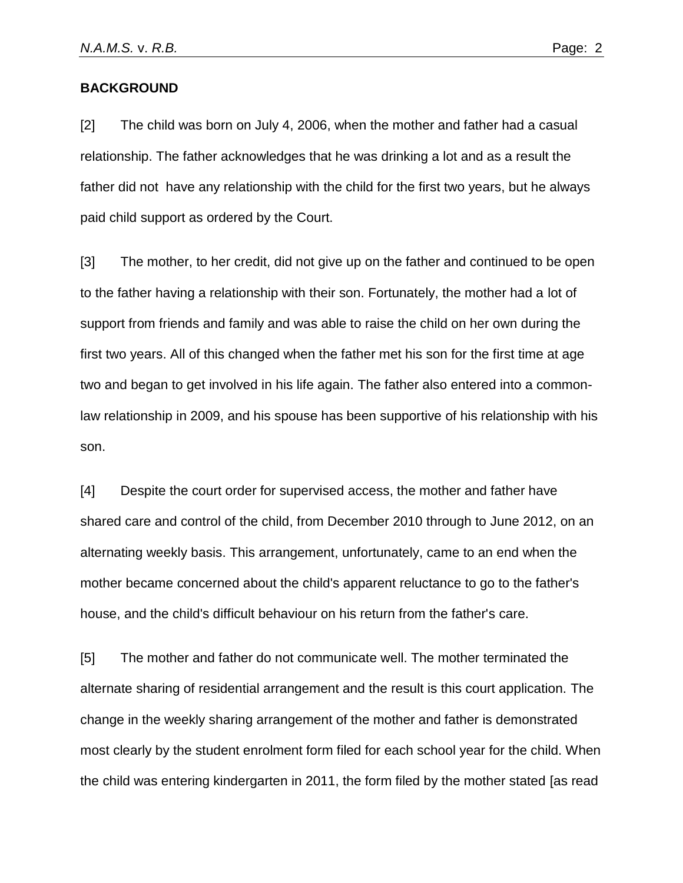#### **BACKGROUND**

[2] The child was born on July 4, 2006, when the mother and father had a casual relationship. The father acknowledges that he was drinking a lot and as a result the father did not have any relationship with the child for the first two years, but he always paid child support as ordered by the Court.

[3] The mother, to her credit, did not give up on the father and continued to be open to the father having a relationship with their son. Fortunately, the mother had a lot of support from friends and family and was able to raise the child on her own during the first two years. All of this changed when the father met his son for the first time at age two and began to get involved in his life again. The father also entered into a commonlaw relationship in 2009, and his spouse has been supportive of his relationship with his son.

[4] Despite the court order for supervised access, the mother and father have shared care and control of the child, from December 2010 through to June 2012, on an alternating weekly basis. This arrangement, unfortunately, came to an end when the mother became concerned about the child's apparent reluctance to go to the father's house, and the child's difficult behaviour on his return from the father's care.

[5] The mother and father do not communicate well. The mother terminated the alternate sharing of residential arrangement and the result is this court application. The change in the weekly sharing arrangement of the mother and father is demonstrated most clearly by the student enrolment form filed for each school year for the child. When the child was entering kindergarten in 2011, the form filed by the mother stated [as read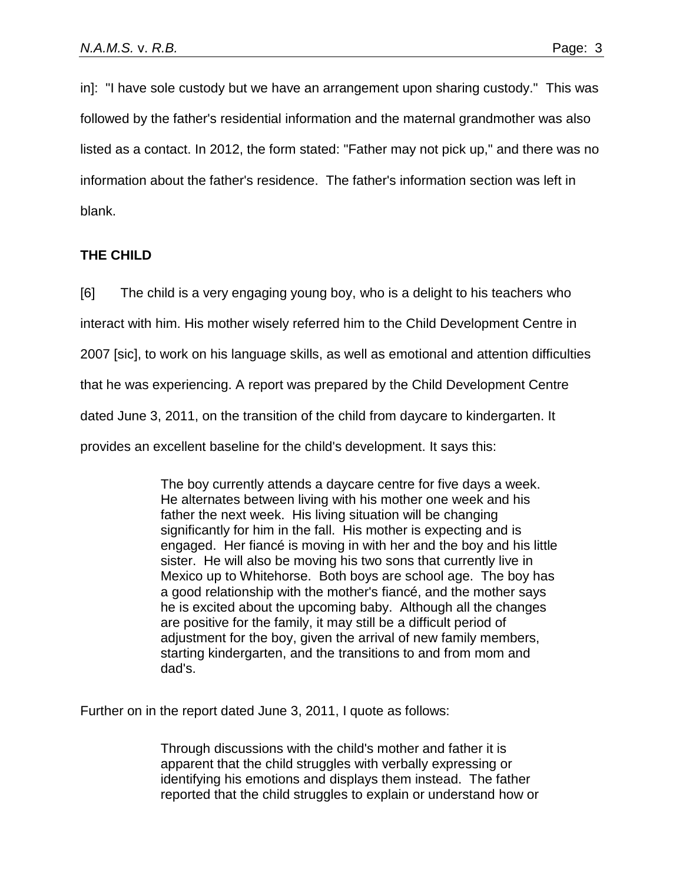in]: "I have sole custody but we have an arrangement upon sharing custody." This was followed by the father's residential information and the maternal grandmother was also listed as a contact. In 2012, the form stated: "Father may not pick up," and there was no information about the father's residence. The father's information section was left in blank.

## **THE CHILD**

[6] The child is a very engaging young boy, who is a delight to his teachers who

interact with him. His mother wisely referred him to the Child Development Centre in

2007 [sic], to work on his language skills, as well as emotional and attention difficulties

that he was experiencing. A report was prepared by the Child Development Centre

dated June 3, 2011, on the transition of the child from daycare to kindergarten. It

provides an excellent baseline for the child's development. It says this:

The boy currently attends a daycare centre for five days a week. He alternates between living with his mother one week and his father the next week. His living situation will be changing significantly for him in the fall. His mother is expecting and is engaged. Her fiancé is moving in with her and the boy and his little sister. He will also be moving his two sons that currently live in Mexico up to Whitehorse. Both boys are school age. The boy has a good relationship with the mother's fiancé, and the mother says he is excited about the upcoming baby. Although all the changes are positive for the family, it may still be a difficult period of adjustment for the boy, given the arrival of new family members, starting kindergarten, and the transitions to and from mom and dad's.

Further on in the report dated June 3, 2011, I quote as follows:

Through discussions with the child's mother and father it is apparent that the child struggles with verbally expressing or identifying his emotions and displays them instead. The father reported that the child struggles to explain or understand how or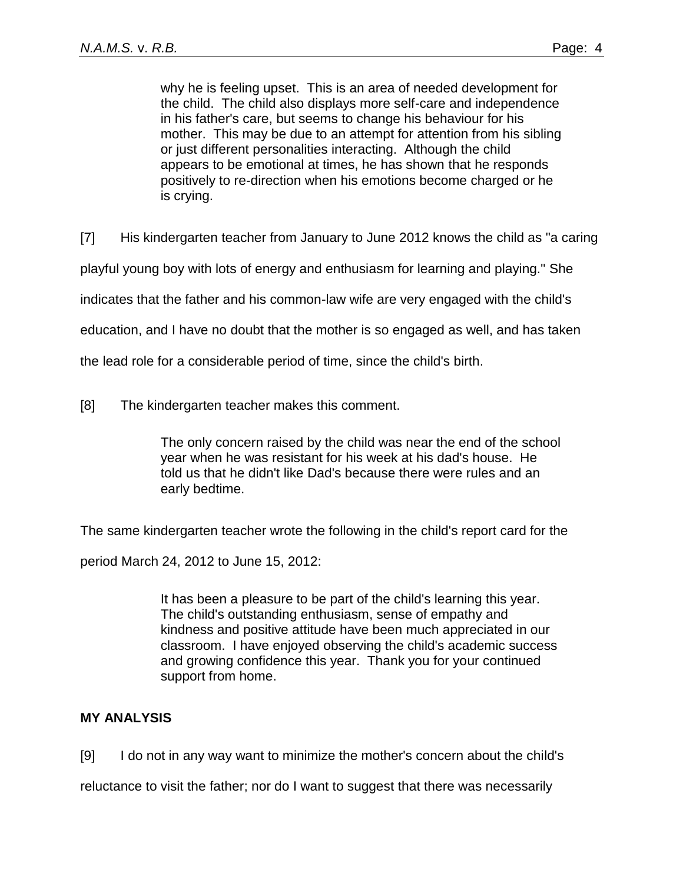why he is feeling upset. This is an area of needed development for the child. The child also displays more self-care and independence in his father's care, but seems to change his behaviour for his mother. This may be due to an attempt for attention from his sibling or just different personalities interacting. Although the child appears to be emotional at times, he has shown that he responds positively to re-direction when his emotions become charged or he is crying.

[7] His kindergarten teacher from January to June 2012 knows the child as "a caring

playful young boy with lots of energy and enthusiasm for learning and playing." She

indicates that the father and his common-law wife are very engaged with the child's

education, and I have no doubt that the mother is so engaged as well, and has taken

the lead role for a considerable period of time, since the child's birth.

[8] The kindergarten teacher makes this comment.

The only concern raised by the child was near the end of the school year when he was resistant for his week at his dad's house. He told us that he didn't like Dad's because there were rules and an early bedtime.

The same kindergarten teacher wrote the following in the child's report card for the

period March 24, 2012 to June 15, 2012:

It has been a pleasure to be part of the child's learning this year. The child's outstanding enthusiasm, sense of empathy and kindness and positive attitude have been much appreciated in our classroom. I have enjoyed observing the child's academic success and growing confidence this year. Thank you for your continued support from home.

## **MY ANALYSIS**

[9] I do not in any way want to minimize the mother's concern about the child's reluctance to visit the father; nor do I want to suggest that there was necessarily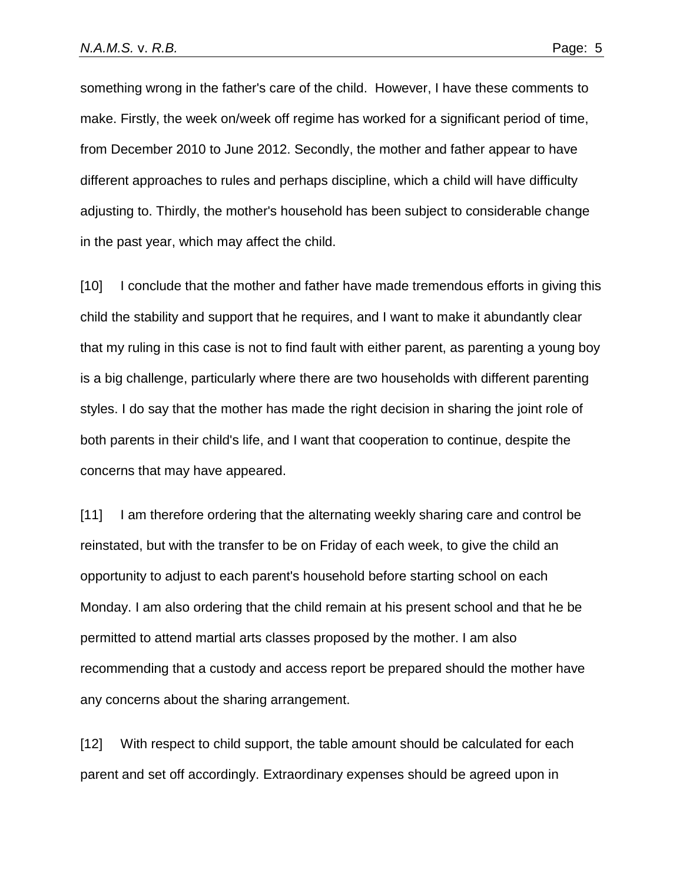something wrong in the father's care of the child. However, I have these comments to make. Firstly, the week on/week off regime has worked for a significant period of time, from December 2010 to June 2012. Secondly, the mother and father appear to have different approaches to rules and perhaps discipline, which a child will have difficulty adjusting to. Thirdly, the mother's household has been subject to considerable change in the past year, which may affect the child.

[10] I conclude that the mother and father have made tremendous efforts in giving this child the stability and support that he requires, and I want to make it abundantly clear that my ruling in this case is not to find fault with either parent, as parenting a young boy is a big challenge, particularly where there are two households with different parenting styles. I do say that the mother has made the right decision in sharing the joint role of both parents in their child's life, and I want that cooperation to continue, despite the concerns that may have appeared.

[11] I am therefore ordering that the alternating weekly sharing care and control be reinstated, but with the transfer to be on Friday of each week, to give the child an opportunity to adjust to each parent's household before starting school on each Monday. I am also ordering that the child remain at his present school and that he be permitted to attend martial arts classes proposed by the mother. I am also recommending that a custody and access report be prepared should the mother have any concerns about the sharing arrangement.

[12] With respect to child support, the table amount should be calculated for each parent and set off accordingly. Extraordinary expenses should be agreed upon in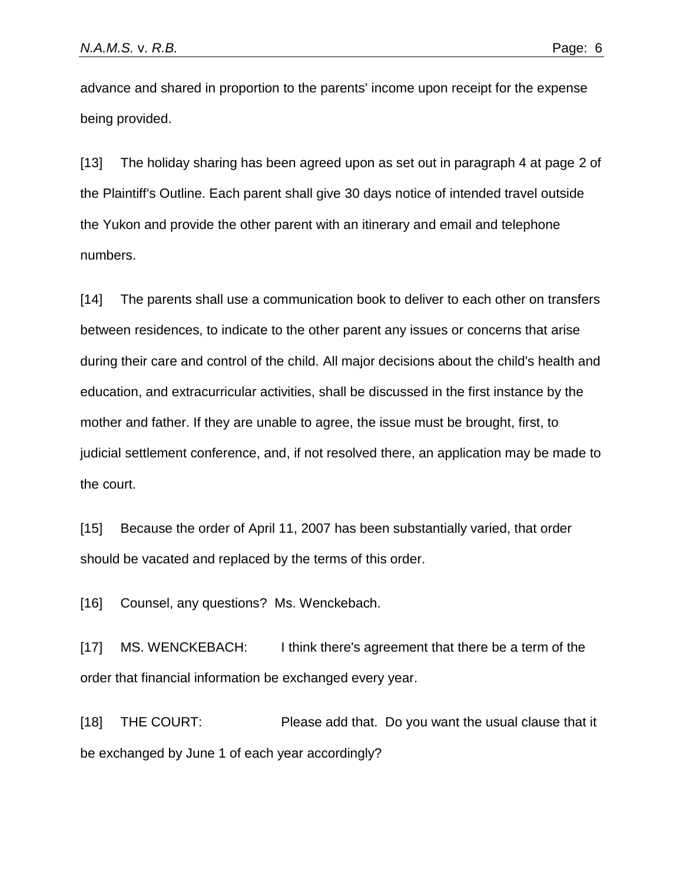advance and shared in proportion to the parents' income upon receipt for the expense being provided.

[13] The holiday sharing has been agreed upon as set out in paragraph 4 at page 2 of the Plaintiff's Outline. Each parent shall give 30 days notice of intended travel outside the Yukon and provide the other parent with an itinerary and email and telephone numbers.

[14] The parents shall use a communication book to deliver to each other on transfers between residences, to indicate to the other parent any issues or concerns that arise during their care and control of the child. All major decisions about the child's health and education, and extracurricular activities, shall be discussed in the first instance by the mother and father. If they are unable to agree, the issue must be brought, first, to judicial settlement conference, and, if not resolved there, an application may be made to the court.

[15] Because the order of April 11, 2007 has been substantially varied, that order should be vacated and replaced by the terms of this order.

[16] Counsel, any questions? Ms. Wenckebach.

[17] MS. WENCKEBACH: I think there's agreement that there be a term of the order that financial information be exchanged every year.

[18] THE COURT: Please add that. Do you want the usual clause that it be exchanged by June 1 of each year accordingly?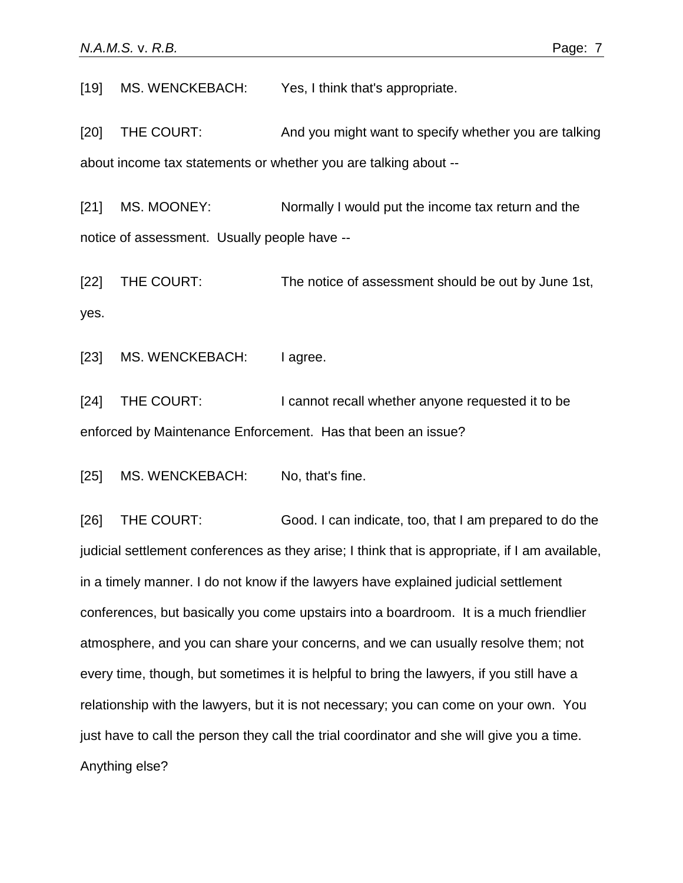[19] MS. WENCKEBACH: Yes, I think that's appropriate.

[20] THE COURT: And you might want to specify whether you are talking about income tax statements or whether you are talking about --

[21] MS. MOONEY: Normally I would put the income tax return and the notice of assessment. Usually people have --

[22] THE COURT: The notice of assessment should be out by June 1st, yes.

[23] MS. WENCKEBACH: I agree.

[24] THE COURT: I cannot recall whether anyone requested it to be enforced by Maintenance Enforcement. Has that been an issue?

[25] MS. WENCKEBACH: No, that's fine.

[26] THE COURT: Good. I can indicate, too, that I am prepared to do the judicial settlement conferences as they arise; I think that is appropriate, if I am available, in a timely manner. I do not know if the lawyers have explained judicial settlement conferences, but basically you come upstairs into a boardroom. It is a much friendlier atmosphere, and you can share your concerns, and we can usually resolve them; not every time, though, but sometimes it is helpful to bring the lawyers, if you still have a relationship with the lawyers, but it is not necessary; you can come on your own. You just have to call the person they call the trial coordinator and she will give you a time. Anything else?